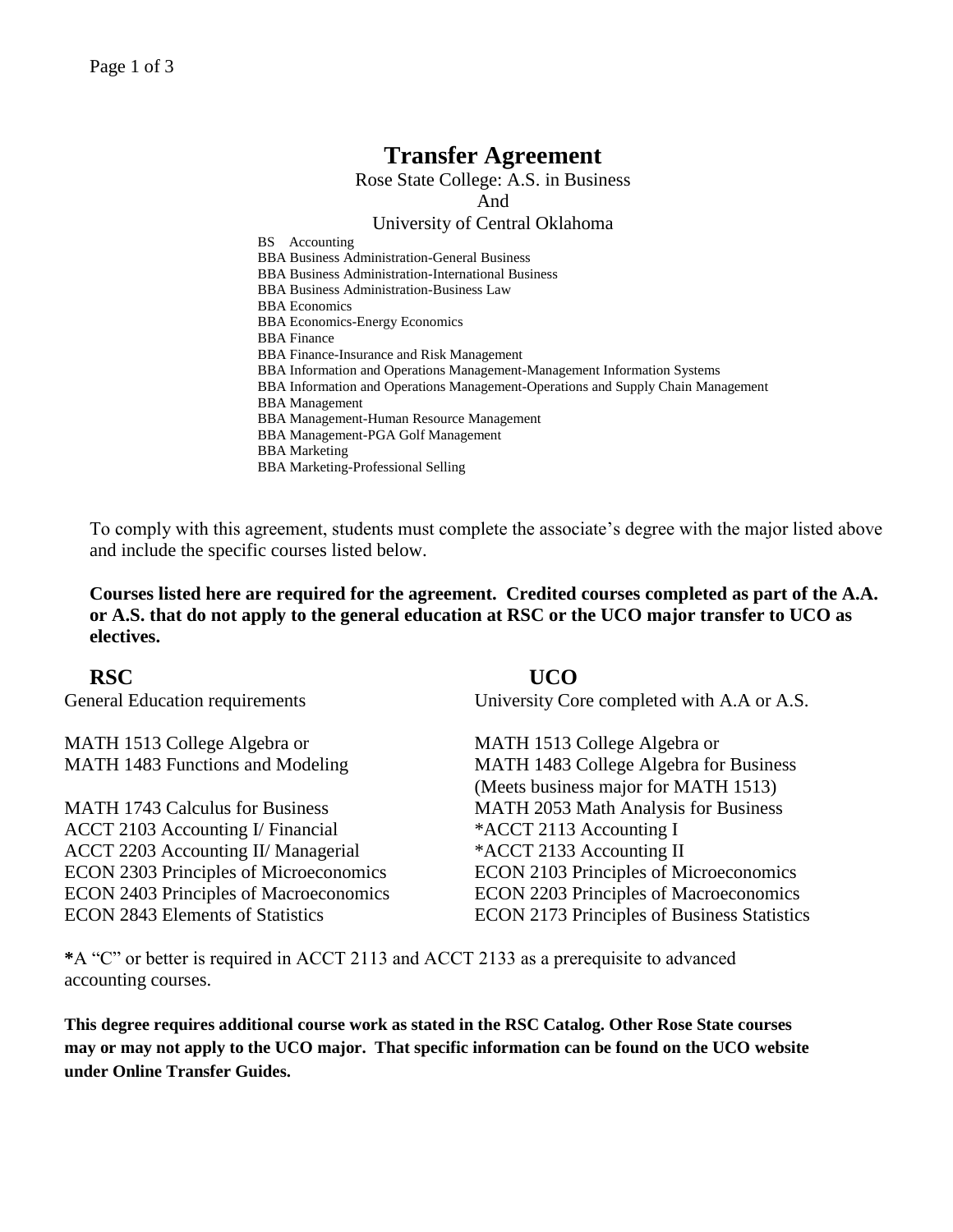# **Transfer Agreement**

Rose State College: A.S. in Business And

## University of Central Oklahoma

BS Accounting BBA Business Administration-General Business BBA Business Administration-International Business BBA Business Administration-Business Law BBA Economics BBA Economics-Energy Economics BBA Finance BBA Finance-Insurance and Risk Management BBA Information and Operations Management-Management Information Systems BBA Information and Operations Management-Operations and Supply Chain Management BBA Management BBA Management-Human Resource Management BBA Management-PGA Golf Management BBA Marketing BBA Marketing-Professional Selling

To comply with this agreement, students must complete the associate's degree with the major listed above and include the specific courses listed below.

**Courses listed here are required for the agreement. Credited courses completed as part of the A.A. or A.S. that do not apply to the general education at RSC or the UCO major transfer to UCO as electives.**

MATH 1513 College Algebra or MATH 1483 Functions and Modeling

MATH 1743 Calculus for Business ACCT 2103 Accounting I/ Financial \*ACCT 2113 Accounting I ACCT 2203 Accounting II/ Managerial \*ACCT 2133 Accounting II ECON 2303 Principles of Microeconomics ECON 2103 Principles of Microeconomics ECON 2403 Principles of Macroeconomics ECON 2203 Principles of Macroeconomics

**RSC UCO**  General Education requirements University Core completed with A.A or A.S.

MATH 1513 College Algebra or MATH 1483 College Algebra for Business (Meets business major for MATH 1513) MATH 2053 Math Analysis for Business ECON 2843 Elements of Statistics ECON 2173 Principles of Business Statistics

**\***A "C" or better is required in ACCT 2113 and ACCT 2133 as a prerequisite to advanced accounting courses.

**This degree requires additional course work as stated in the RSC Catalog. Other Rose State courses may or may not apply to the UCO major. That specific information can be found on the UCO website under Online Transfer Guides.**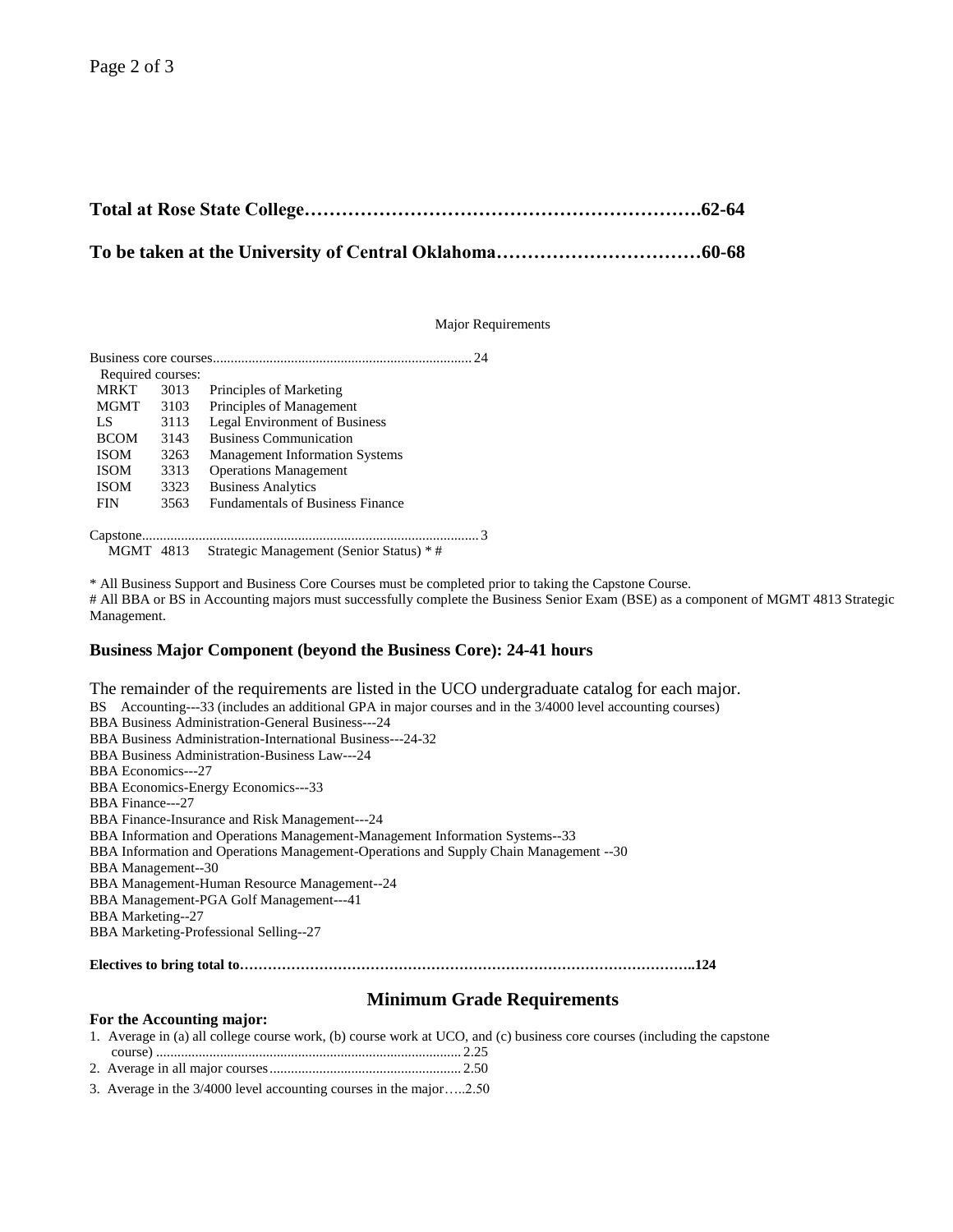Major Requirements

|                   |      | 24                                       |
|-------------------|------|------------------------------------------|
| Required courses: |      |                                          |
| <b>MRKT</b>       | 3013 | Principles of Marketing                  |
| MGMT              | 3103 | Principles of Management                 |
| LS                | 3113 | <b>Legal Environment of Business</b>     |
| <b>BCOM</b>       | 3143 | <b>Business Communication</b>            |
| <b>ISOM</b>       | 3263 | <b>Management Information Systems</b>    |
| <b>ISOM</b>       | 3313 | <b>Operations Management</b>             |
| <b>ISOM</b>       | 3323 | <b>Business Analytics</b>                |
| <b>FIN</b>        | 3563 | <b>Fundamentals of Business Finance</b>  |
|                   |      |                                          |
| <b>MGMT</b> 4813  |      | Strategic Management (Senior Status) * # |

\* All Business Support and Business Core Courses must be completed prior to taking the Capstone Course.

# All BBA or BS in Accounting majors must successfully complete the Business Senior Exam (BSE) as a component of MGMT 4813 Strategic Management.

#### **Business Major Component (beyond the Business Core): 24-41 hours**

The remainder of the requirements are listed in the UCO undergraduate catalog for each major. BS Accounting---33 (includes an additional GPA in major courses and in the 3/4000 level accounting courses) BBA Business Administration-General Business---24 BBA Business Administration-International Business---24-32 BBA Business Administration-Business Law---24 BBA Economics---27 BBA Economics-Energy Economics---33 BBA Finance---27 BBA Finance-Insurance and Risk Management---24 BBA Information and Operations Management-Management Information Systems--33 BBA Information and Operations Management-Operations and Supply Chain Management --30 BBA Management--30 BBA Management-Human Resource Management--24 BBA Management-PGA Golf Management---41 BBA Marketing--27 BBA Marketing-Professional Selling--27 **Electives to bring total to……………………………………………………………………………………..124**

### **Minimum Grade Requirements**

#### **For the Accounting major:**

1. Average in (a) all college course work, (b) course work at UCO, and (c) business core courses (including the capstone course) ...................................................................................... 2.25

2. Average in all major courses...................................................... 2.50

3. Average in the 3/4000 level accounting courses in the major…..2.50